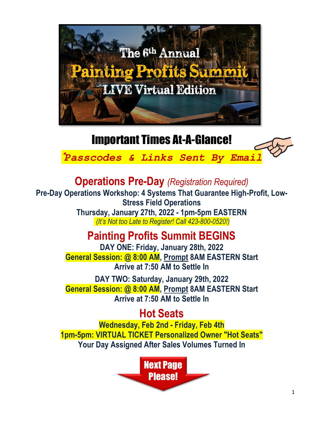

## Important Times At-A-Glance!

\**Passcodes & Links Sent By Email*

**Operations Pre-Day** *(Registration Required)*

**Pre-Day Operations Workshop: 4 Systems That Guarantee High-Profit, Low-Stress Field Operations Thursday, January 27th, 2022 - 1pm-5pm EASTERN**

*(It's Not too Late to Register! Call 423-800-0520!)*

## **Painting Profits Summit BEGINS**

**DAY ONE: Friday, January 28th, 2022 General Session: @ 8:00 AM, Prompt 8AM EASTERN Start Arrive at 7:50 AM to Settle In**

**DAY TWO: Saturday, January 29th, 2022 General Session: @ 8:00 AM, Prompt 8AM EASTERN Start Arrive at 7:50 AM to Settle In**

### **Hot Seats**

**Wednesday, Feb 2nd - Friday, Feb 4th 1pm-5pm: VIRTUAL TICKET Personalized Owner "Hot Seats" Your Day Assigned After Sales Volumes Turned In**

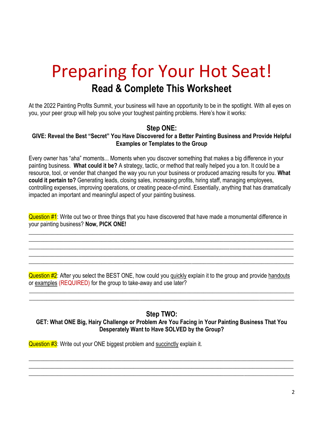# Preparing for Your Hot Seat! **Read & Complete This Worksheet**

At the 2022 Painting Profits Summit, your business will have an opportunity to be in the spotlight. With all eyes on you, your peer group will help you solve your toughest painting problems. Here's how it works:

### **Step ONE:**

#### **GIVE: Reveal the Best "Secret" You Have Discovered for a Better Painting Business and Provide Helpful Examples or Templates to the Group**

Every owner has "aha" moments... Moments when you discover something that makes a big difference in your painting business. **What could it be?** A strategy, tactic, or method that really helped you a ton. It could be a resource, tool, or vender that changed the way you run your business or produced amazing results for you. **What could it pertain to?** Generating leads, closing sales, increasing profits, hiring staff, managing employees, controlling expenses, improving operations, or creating peace-of-mind. Essentially, anything that has dramatically impacted an important and meaningful aspect of your painting business.

Question #1: Write out two or three things that you have discovered that have made a monumental difference in your painting business? **Now, PICK ONE!**

 $\_$  , and the set of the set of the set of the set of the set of the set of the set of the set of the set of the set of the set of the set of the set of the set of the set of the set of the set of the set of the set of th  $\_$  , and the set of the set of the set of the set of the set of the set of the set of the set of the set of the set of the set of the set of the set of the set of the set of the set of the set of the set of the set of th  $\_$  ,  $\_$  ,  $\_$  ,  $\_$  ,  $\_$  ,  $\_$  ,  $\_$  ,  $\_$  ,  $\_$  ,  $\_$  ,  $\_$  ,  $\_$  ,  $\_$  ,  $\_$  ,  $\_$  ,  $\_$  ,  $\_$  ,  $\_$  ,  $\_$  ,  $\_$  ,  $\_$  ,  $\_$  ,  $\_$  ,  $\_$  ,  $\_$  ,  $\_$  ,  $\_$  ,  $\_$  ,  $\_$  ,  $\_$  ,  $\_$  ,  $\_$  ,  $\_$  ,  $\_$  ,  $\_$  ,  $\_$  ,  $\_$  ,  $\_$  ,  $\_$  ,  $\_$  ,  $\_$  ,  $\_$  ,  $\_$  ,  $\_$  ,  $\_$  ,  $\_$  ,  $\_$  ,  $\_$  ,  $\_$  ,  $\_$  ,  $\_$  ,  $\_$  ,  $\_$  ,  $\_$  ,  $\_$  ,  $\_$  ,  $\_$  ,  $\_$  ,  $\_$  ,  $\_$  ,  $\_$  ,  $\_$  ,  $\_$  ,  $\_$  ,  $\_$  ,  $\_$  ,  $\_$  ,  $\_$  ,  $\_$  ,  $\_$  ,  $\_$  ,  $\_$  ,  $\_$  ,  $\_$  ,  $\_$  , and the set of the set of the set of the set of the set of the set of the set of the set of the set of the set of the set of the set of the set of the set of the set of the set of the set of the set of the set of th

Question  $\sharp 2$ : After you select the BEST ONE, how could you quickly explain it to the group and provide handouts or examples (REQUIRED) for the group to take-away and use later?

 $\_$  , and the set of the set of the set of the set of the set of the set of the set of the set of the set of the set of the set of the set of the set of the set of the set of the set of the set of the set of the set of th  $\_$  , and the set of the set of the set of the set of the set of the set of the set of the set of the set of the set of the set of the set of the set of the set of the set of the set of the set of the set of the set of th

### **Step TWO:**

### **GET: What ONE Big, Hairy Challenge or Problem Are You Facing in Your Painting Business That You Desperately Want to Have SOLVED by the Group?**

 $\_$  ,  $\_$  ,  $\_$  ,  $\_$  ,  $\_$  ,  $\_$  ,  $\_$  ,  $\_$  ,  $\_$  ,  $\_$  ,  $\_$  ,  $\_$  ,  $\_$  ,  $\_$  ,  $\_$  ,  $\_$  ,  $\_$  ,  $\_$  ,  $\_$  ,  $\_$  ,  $\_$  ,  $\_$  ,  $\_$  ,  $\_$  ,  $\_$  ,  $\_$  ,  $\_$  ,  $\_$  ,  $\_$  ,  $\_$  ,  $\_$  ,  $\_$  ,  $\_$  ,  $\_$  ,  $\_$  ,  $\_$  ,  $\_$  ,  $\_$  ,  $\_$  ,  $\_$  ,  $\_$  ,  $\_$  ,  $\_$  ,  $\_$  ,  $\_$  ,  $\_$  ,  $\_$  ,  $\_$  ,  $\_$  ,  $\_$  ,  $\_$  ,  $\_$  ,  $\_$  ,  $\_$  ,  $\_$  ,  $\_$  ,  $\_$  ,  $\_$  ,  $\_$  ,  $\_$  ,  $\_$  ,  $\_$  ,  $\_$  ,  $\_$  ,  $\_$  ,  $\_$  ,  $\_$  ,  $\_$  ,  $\_$  ,  $\_$  ,  $\_$  ,  $\_$  ,  $\_$  ,  $\_$  ,  $\_$  , and the set of the set of the set of the set of the set of the set of the set of the set of the set of the set of the set of the set of the set of the set of the set of the set of the set of the set of the set of th

Question #3: Write out your ONE biggest problem and succinctly explain it.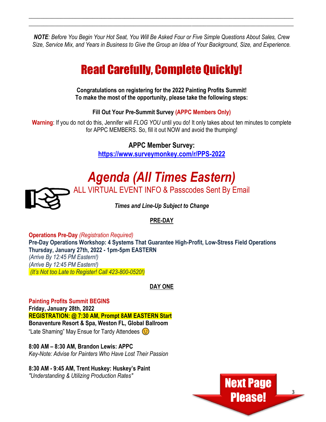*NOTE: Before You Begin Your Hot Seat, You Will Be Asked Four or Five Simple Questions About Sales, Crew Size, Service Mix, and Years in Business to Give the Group an Idea of Your Background, Size, and Experience.* 

 $\_$  , and the set of the set of the set of the set of the set of the set of the set of the set of the set of the set of the set of the set of the set of the set of the set of the set of the set of the set of the set of th  $\_$  , and the set of the set of the set of the set of the set of the set of the set of the set of the set of the set of the set of the set of the set of the set of the set of the set of the set of the set of the set of th

## Read Carefully, Complete Quickly!

**Congratulations on registering for the 2022 Painting Profits Summit! To make the most of the opportunity, please take the following steps:**

**Fill Out Your Pre-Summit Survey (APPC Members Only)**

**Warning**: If you do not do this, Jennifer will *FLOG YOU* until you do! It only takes about ten minutes to complete for APPC MEMBERS. So, fill it out NOW and avoid the thumping!

**APPC Member Survey:**

**<https://www.surveymonkey.com/r/PPS-2022>**

# *Agenda (All Times Eastern)*



ALL VIRTUAL EVENT INFO & Passcodes Sent By Email

*Times and Line-Up Subject to Change*

### **PRE-DAY**

**Operations Pre-Day** *(Registration Required)* **Pre-Day Operations Workshop: 4 Systems That Guarantee High-Profit, Low-Stress Field Operations Thursday, January 27th, 2022 - 1pm-5pm EASTERN**  *(Arrive By 12:45 PM Eastern!) (Arrive By 12:45 PM Eastern!) (It's Not too Late to Register! Call 423-800-0520!)*

### **DAY ONE**

**Painting Profits Summit BEGINS Friday, January 28th, 2022 REGISTRATION: @ 7:30 AM, Prompt 8AM EASTERN Start Bonaventure Resort & Spa, Weston FL, Global Ballroom**  "Late Shaming" May Ensue for Tardy Attendees  $\odot$ 

**8:00 AM – 8:30 AM, Brandon Lewis: APPC** *Key-Note: Advise for Painters Who Have Lost Their Passion*

**8:30 AM - 9:45 AM, Trent Huskey: Huskey's Paint** *"Understanding & Utilizing Production Rates"*

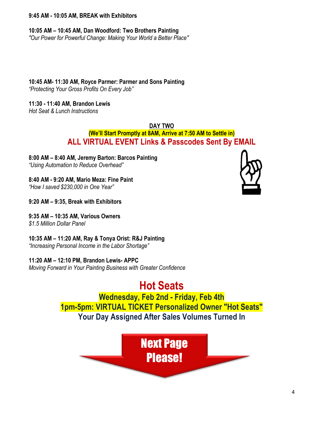#### **9:45 AM - 10:05 AM, BREAK with Exhibitors**

**10:05 AM – 10:45 AM, Dan Woodford: Two Brothers Painting**

*"Our Power for Powerful Change: Making Your World a Better Place"*

### **10:45 AM- 11:30 AM, Royce Parmer: Parmer and Sons Painting**

*"Protecting Your Gross Profits On Every Job"*

### **11:30 - 11:40 AM, Brandon Lewis**

*Hot Seat & Lunch Instructions* 

**DAY TWO**

### **(We'll Start Promptly at 8AM, Arrive at 7:50 AM to Settle in) ALL VIRTUAL EVENT Links & Passcodes Sent By EMAIL**

**8:00 AM – 8:40 AM, Jeremy Barton: Barcos Painting** *"Using Automation to Reduce Overhead"*

**8:40 AM - 9:20 AM, Mario Meza: Fine Paint**

*"How I saved \$230,000 in One Year"*

**9:20 AM – 9:35, Break with Exhibitors**

**9:35 AM – 10:35 AM, Various Owners**

*\$1.5 Million Dollar Panel*

### **10:35 AM – 11:20 AM, Ray & Tonya Orist: R&J Painting**

*"Increasing Personal Income in the Labor Shortage"*

**11:20 AM – 12:10 PM, Brandon Lewis- APPC**

*Moving Forward in Your Painting Business with Greater Confidence*

**Hot Seats Wednesday, Feb 2nd - Friday, Feb 4th 1pm-5pm: VIRTUAL TICKET Personalized Owner "Hot Seats" Your Day Assigned After Sales Volumes Turned In**